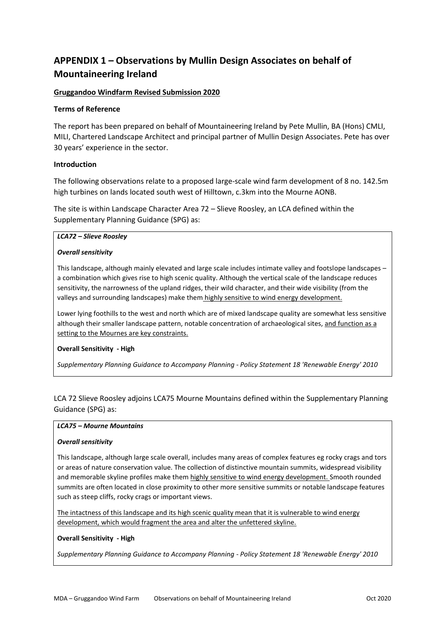# **APPENDIX 1 – Observations by Mullin Design Associates on behalf of Mountaineering Ireland**

# **Gruggandoo Windfarm Revised Submission 2020**

## **Terms of Reference**

The report has been prepared on behalf of Mountaineering Ireland by Pete Mullin, BA (Hons) CMLI, MILI, Chartered Landscape Architect and principal partner of Mullin Design Associates. Pete has over 30 years' experience in the sector.

# **Introduction**

The following observations relate to a proposed large-scale wind farm development of 8 no. 142.5m high turbines on lands located south west of Hilltown, c.3km into the Mourne AONB.

The site is within Landscape Character Area 72 – Slieve Roosley, an LCA defined within the Supplementary Planning Guidance (SPG) as:

#### *LCA72 – Slieve Roosley*

## *Overall sensitivity*

This landscape, although mainly elevated and large scale includes intimate valley and footslope landscapes – a combination which gives rise to high scenic quality. Although the vertical scale of the landscape reduces sensitivity, the narrowness of the upland ridges, their wild character, and their wide visibility (from the valleys and surrounding landscapes) make them highly sensitive to wind energy development.

Lower lying foothills to the west and north which are of mixed landscape quality are somewhat less sensitive although their smaller landscape pattern, notable concentration of archaeological sites, and function as a setting to the Mournes are key constraints.

## **Overall Sensitivity - High**

*Supplementary Planning Guidance to Accompany Planning - Policy Statement 18 'Renewable Energy' 2010*

LCA 72 Slieve Roosley adjoins LCA75 Mourne Mountains defined within the Supplementary Planning Guidance (SPG) as:

## *LCA75 – Mourne Mountains*

## *Overall sensitivity*

This landscape, although large scale overall, includes many areas of complex features eg rocky crags and tors or areas of nature conservation value. The collection of distinctive mountain summits, widespread visibility and memorable skyline profiles make them highly sensitive to wind energy development. Smooth rounded summits are often located in close proximity to other more sensitive summits or notable landscape features such as steep cliffs, rocky crags or important views.

The intactness of this landscape and its high scenic quality mean that it is vulnerable to wind energy development, which would fragment the area and alter the unfettered skyline.

## **Overall Sensitivity - High**

*Supplementary Planning Guidance to Accompany Planning - Policy Statement 18 'Renewable Energy' 2010*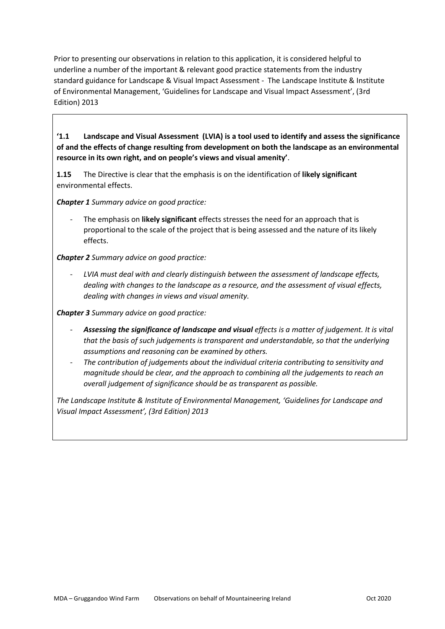Prior to presenting our observations in relation to this application, it is considered helpful to underline a number of the important & relevant good practice statements from the industry standard guidance for Landscape & Visual Impact Assessment - The Landscape Institute & Institute of Environmental Management, 'Guidelines for Landscape and Visual Impact Assessment', (3rd Edition) 2013

**'1.1 Landscape and Visual Assessment (LVIA) is a tool used to identify and assess the significance of and the effects of change resulting from development on both the landscape as an environmental resource in its own right, and on people's views and visual amenity'**.

**1.15** The Directive is clear that the emphasis is on the identification of **likely significant** environmental effects.

*Chapter 1 Summary advice on good practice:* 

- The emphasis on **likely significant** effects stresses the need for an approach that is proportional to the scale of the project that is being assessed and the nature of its likely effects.

*Chapter 2 Summary advice on good practice:*

- *LVIA must deal with and clearly distinguish between the assessment of landscape effects, dealing with changes to the landscape as a resource, and the assessment of visual effects, dealing with changes in views and visual amenity.*

*Chapter 3 Summary advice on good practice:*

- *Assessing the significance of landscape and visual effects is a matter of judgement. It is vital that the basis of such judgements is transparent and understandable, so that the underlying assumptions and reasoning can be examined by others.*
- *The contribution of judgements about the individual criteria contributing to sensitivity and magnitude should be clear, and the approach to combining all the judgements to reach an overall judgement of significance should be as transparent as possible.*

*The Landscape Institute & Institute of Environmental Management, 'Guidelines for Landscape and Visual Impact Assessment', (3rd Edition) 2013*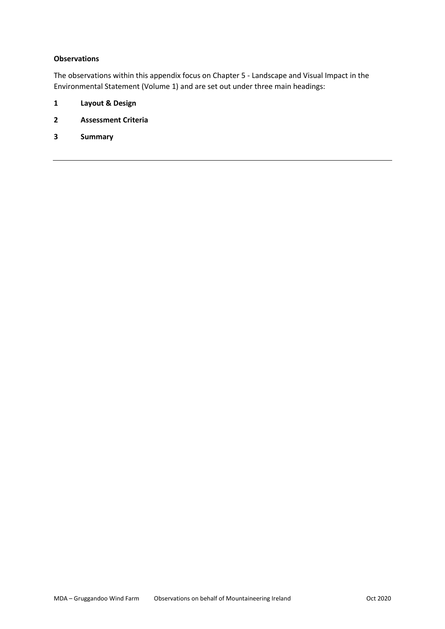## **Observations**

The observations within this appendix focus on Chapter 5 - Landscape and Visual Impact in the Environmental Statement (Volume 1) and are set out under three main headings:

- **1 Layout & Design**
- **2 Assessment Criteria**
- **3 Summary**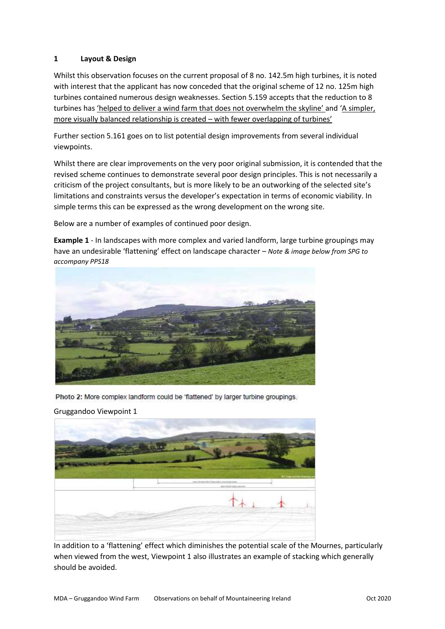# **1 Layout & Design**

Whilst this observation focuses on the current proposal of 8 no. 142.5m high turbines, it is noted with interest that the applicant has now conceded that the original scheme of 12 no. 125m high turbines contained numerous design weaknesses. Section 5.159 accepts that the reduction to 8 turbines has 'helped to deliver a wind farm that does not overwhelm the skyline' and 'A simpler, more visually balanced relationship is created – with fewer overlapping of turbines'

Further section 5.161 goes on to list potential design improvements from several individual viewpoints.

Whilst there are clear improvements on the very poor original submission, it is contended that the revised scheme continues to demonstrate several poor design principles. This is not necessarily a criticism of the project consultants, but is more likely to be an outworking of the selected site's limitations and constraints versus the developer's expectation in terms of economic viability. In simple terms this can be expressed as the wrong development on the wrong site.

Below are a number of examples of continued poor design.

**Example 1** - In landscapes with more complex and varied landform, large turbine groupings may have an undesirable 'flattening' effect on landscape character *– Note & image below from SPG to accompany PPS18*



Photo 2: More complex landform could be 'flattened' by larger turbine groupings.



In addition to a 'flattening' effect which diminishes the potential scale of the Mournes, particularly when viewed from the west, Viewpoint 1 also illustrates an example of stacking which generally should be avoided.

Gruggandoo Viewpoint 1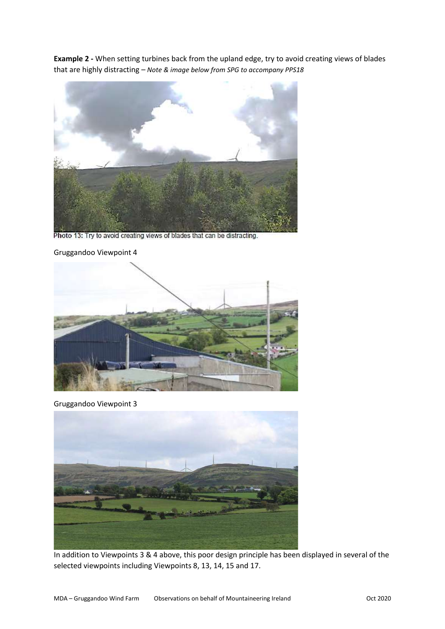**Example 2 -** When setting turbines back from the upland edge, try to avoid creating views of blades that are highly distracting *– Note & image below from SPG to accompany PPS18*



Photo 13: Try to avoid creating views of blades that can be distracting.

Gruggandoo Viewpoint 4



Gruggandoo Viewpoint 3



In addition to Viewpoints 3 & 4 above, this poor design principle has been displayed in several of the selected viewpoints including Viewpoints 8, 13, 14, 15 and 17.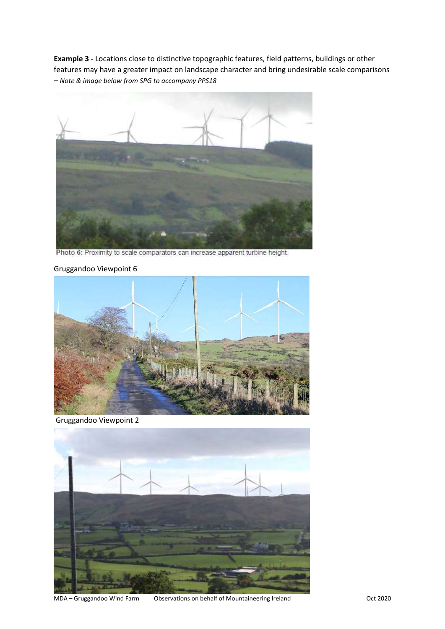**Example 3 -** Locations close to distinctive topographic features, field patterns, buildings or other features may have a greater impact on landscape character and bring undesirable scale comparisons *– Note & image below from SPG to accompany PPS18*



Photo 6: Proximity to scale comparators can increase apparent turbine height.

## Gruggandoo Viewpoint 6



Gruggandoo Viewpoint 2



MDA – Gruggandoo Wind Farm Cbservations on behalf of Mountaineering Ireland Cost 2020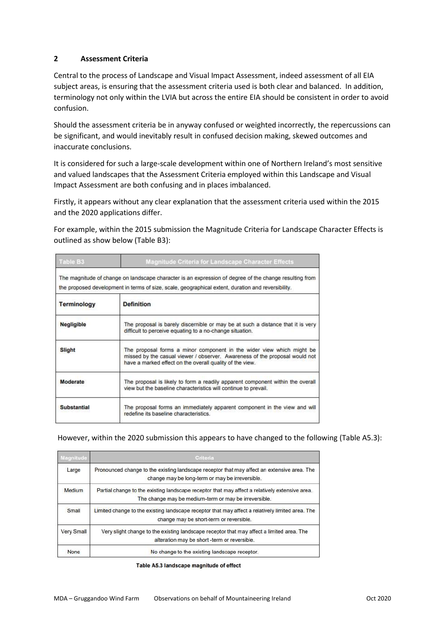# **2 Assessment Criteria**

Central to the process of Landscape and Visual Impact Assessment, indeed assessment of all EIA subject areas, is ensuring that the assessment criteria used is both clear and balanced. In addition, terminology not only within the LVIA but across the entire EIA should be consistent in order to avoid confusion.

Should the assessment criteria be in anyway confused or weighted incorrectly, the repercussions can be significant, and would inevitably result in confused decision making, skewed outcomes and inaccurate conclusions.

It is considered for such a large-scale development within one of Northern Ireland's most sensitive and valued landscapes that the Assessment Criteria employed within this Landscape and Visual Impact Assessment are both confusing and in places imbalanced.

Firstly, it appears without any clear explanation that the assessment criteria used within the 2015 and the 2020 applications differ.

For example, within the 2015 submission the Magnitude Criteria for Landscape Character Effects is outlined as show below (Table B3):

| Table B3           | <b>Magnitude Criteria for Landscape Character Effects</b>                                                                                                                                                        |  |  |  |  |  |
|--------------------|------------------------------------------------------------------------------------------------------------------------------------------------------------------------------------------------------------------|--|--|--|--|--|
|                    | The magnitude of change on landscape character is an expression of degree of the change resulting from<br>the proposed development in terms of size, scale, geographical extent, duration and reversibility.     |  |  |  |  |  |
| <b>Terminology</b> | <b>Definition</b>                                                                                                                                                                                                |  |  |  |  |  |
| <b>Negligible</b>  | The proposal is barely discernible or may be at such a distance that it is very<br>difficult to perceive equating to a no-change situation.                                                                      |  |  |  |  |  |
| Slight             | The proposal forms a minor component in the wider view which might be<br>missed by the casual viewer / observer. Awareness of the proposal would not<br>have a marked effect on the overall quality of the view. |  |  |  |  |  |
| Moderate           | The proposal is likely to form a readily apparent component within the overall<br>view but the baseline characteristics will continue to prevail.                                                                |  |  |  |  |  |
| <b>Substantial</b> | The proposal forms an immediately apparent component in the view and will<br>redefine its baseline characteristics.                                                                                              |  |  |  |  |  |

However, within the 2020 submission this appears to have changed to the following (Table A5.3):

| Magnitude   | Criteria                                                                                                                                                |  |  |  |  |  |
|-------------|---------------------------------------------------------------------------------------------------------------------------------------------------------|--|--|--|--|--|
| Large       | Pronounced change to the existing landscape receptor that may affect an extensive area. The<br>change may be long-term or may be irreversible.          |  |  |  |  |  |
| Medium      | Partial change to the existing landscape receptor that may affect a relatively extensive area.<br>The change may be medium-term or may be irreversible. |  |  |  |  |  |
| Small       | Limited change to the existing landscape receptor that may affect a relatively limited area. The<br>change may be short-term or reversible.             |  |  |  |  |  |
| Very Small  | Very slight change to the existing landscape receptor that may affect a limited area. The<br>alteration may be short -term or reversible.               |  |  |  |  |  |
| <b>None</b> | No change to the existing landscape receptor.                                                                                                           |  |  |  |  |  |

Table A5.3 landscape magnitude of effect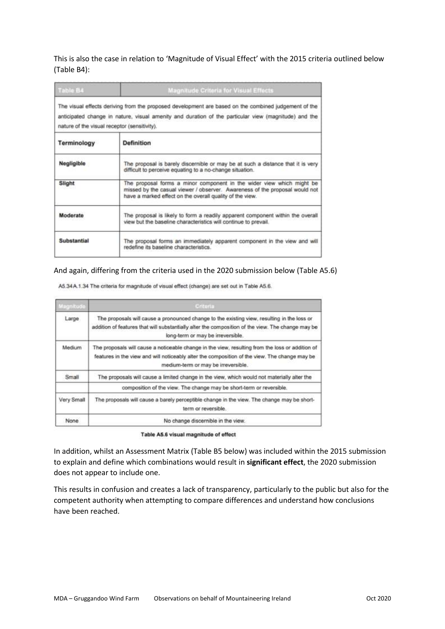This is also the case in relation to 'Magnitude of Visual Effect' with the 2015 criteria outlined below (Table B4):

| Table B4                                     | <b>Magnitude Criteria for Visual Effects</b>                                                                                                                                                                     |  |  |  |  |  |
|----------------------------------------------|------------------------------------------------------------------------------------------------------------------------------------------------------------------------------------------------------------------|--|--|--|--|--|
| nature of the visual receptor (sensitivity). | The visual effects deriving from the proposed development are based on the combined judgement of the<br>anticipated change in nature, visual amenity and duration of the particular view (magnitude) and the     |  |  |  |  |  |
| Terminology                                  | <b>Definition</b>                                                                                                                                                                                                |  |  |  |  |  |
| Negligible                                   | The proposal is barely discernible or may be at such a distance that it is very<br>difficult to perceive equating to a no-change situation.                                                                      |  |  |  |  |  |
| Slight                                       | The proposal forms a minor component in the wider view which might be<br>missed by the casual viewer / observer. Awareness of the proposal would not<br>have a marked effect on the overall quality of the view. |  |  |  |  |  |
| Moderate                                     | The proposal is likely to form a readily apparent component within the overall<br>view but the baseline characteristics will continue to prevail.                                                                |  |  |  |  |  |
| Substantial                                  | The proposal forms an immediately apparent component in the view and will<br>redefine its baseline characteristics.                                                                                              |  |  |  |  |  |

#### And again, differing from the criteria used in the 2020 submission below (Table A5.6)

A5.34 A.1.34 The criteria for magnitude of visual effect (change) are set out in Table A5.6.

| Magnitude  | <b>Criteria</b>                                                                                                                                                                                                                          |  |  |  |  |
|------------|------------------------------------------------------------------------------------------------------------------------------------------------------------------------------------------------------------------------------------------|--|--|--|--|
| Large.     | The proposals will cause a pronounced change to the existing view, resulting in the loss or<br>addition of features that will substantially alter the composition of the view. The change may be<br>long-term or may be irreversible.    |  |  |  |  |
| Medium     | The proposals will cause a noticeable change in the view, resulting from the loss or addition of<br>features in the view and will noticeably alter the composition of the view. The change may be<br>medium-term or may be irreversible. |  |  |  |  |
| Small      | The proposals will cause a limited change in the view, which would not materially alter the                                                                                                                                              |  |  |  |  |
|            | composition of the view. The change may be short-term or reversible.                                                                                                                                                                     |  |  |  |  |
| Very Small | The proposals will cause a barely perceptible change in the view. The change may be short-<br>term or reversible.                                                                                                                        |  |  |  |  |
| None       | No change discernible in the view.                                                                                                                                                                                                       |  |  |  |  |

Table A5.6 visual magnitude of effect

In addition, whilst an Assessment Matrix (Table B5 below) was included within the 2015 submission to explain and define which combinations would result in **significant effect**, the 2020 submission does not appear to include one.

This results in confusion and creates a lack of transparency, particularly to the public but also for the competent authority when attempting to compare differences and understand how conclusions have been reached.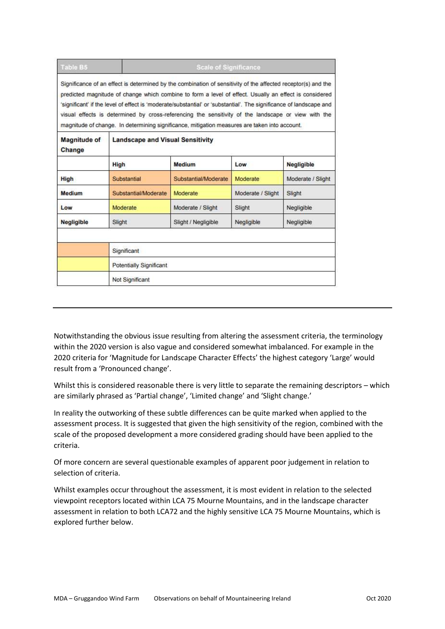| <b>Table B5</b>               | <b>Scale of Significance</b>                                                                                                                                                                                                                                                                                                                                                                                                                                                                                                                          |                      |                   |                             |  |  |  |  |
|-------------------------------|-------------------------------------------------------------------------------------------------------------------------------------------------------------------------------------------------------------------------------------------------------------------------------------------------------------------------------------------------------------------------------------------------------------------------------------------------------------------------------------------------------------------------------------------------------|----------------------|-------------------|-----------------------------|--|--|--|--|
|                               | Significance of an effect is determined by the combination of sensitivity of the affected receptor(s) and the<br>predicted magnitude of change which combine to form a level of effect. Usually an effect is considered<br>'significant' if the level of effect is 'moderate/substantial' or 'substantial'. The significance of landscape and<br>visual effects is determined by cross-referencing the sensitivity of the landscape or view with the<br>magnitude of change. In determining significance, mitigation measures are taken into account. |                      |                   |                             |  |  |  |  |
| <b>Magnitude of</b><br>Change | <b>Landscape and Visual Sensitivity</b>                                                                                                                                                                                                                                                                                                                                                                                                                                                                                                               |                      |                   |                             |  |  |  |  |
|                               | High                                                                                                                                                                                                                                                                                                                                                                                                                                                                                                                                                  | <b>Medium</b>        | Low               | <b>Negligible</b>           |  |  |  |  |
| <b>High</b>                   | Substantial                                                                                                                                                                                                                                                                                                                                                                                                                                                                                                                                           | Substantial/Moderate | Moderate          | Moderate / Slight<br>Slight |  |  |  |  |
| <b>Medium</b>                 | Substantial/Moderate                                                                                                                                                                                                                                                                                                                                                                                                                                                                                                                                  | Moderate             | Moderate / Slight |                             |  |  |  |  |
| Low                           | Moderate                                                                                                                                                                                                                                                                                                                                                                                                                                                                                                                                              | Moderate / Slight    | Slight            | Negligible                  |  |  |  |  |
| <b>Negligible</b>             | Slight                                                                                                                                                                                                                                                                                                                                                                                                                                                                                                                                                | Slight / Negligible  | Negligible        | Negligible                  |  |  |  |  |
|                               | Significant                                                                                                                                                                                                                                                                                                                                                                                                                                                                                                                                           |                      |                   |                             |  |  |  |  |
|                               | Potentially Significant                                                                                                                                                                                                                                                                                                                                                                                                                                                                                                                               |                      |                   |                             |  |  |  |  |
|                               | Not Significant                                                                                                                                                                                                                                                                                                                                                                                                                                                                                                                                       |                      |                   |                             |  |  |  |  |

Notwithstanding the obvious issue resulting from altering the assessment criteria, the terminology within the 2020 version is also vague and considered somewhat imbalanced. For example in the 2020 criteria for 'Magnitude for Landscape Character Effects' the highest category 'Large' would result from a 'Pronounced change'.

Whilst this is considered reasonable there is very little to separate the remaining descriptors – which are similarly phrased as 'Partial change', 'Limited change' and 'Slight change.'

In reality the outworking of these subtle differences can be quite marked when applied to the assessment process. It is suggested that given the high sensitivity of the region, combined with the scale of the proposed development a more considered grading should have been applied to the criteria.

Of more concern are several questionable examples of apparent poor judgement in relation to selection of criteria.

Whilst examples occur throughout the assessment, it is most evident in relation to the selected viewpoint receptors located within LCA 75 Mourne Mountains, and in the landscape character assessment in relation to both LCA72 and the highly sensitive LCA 75 Mourne Mountains, which is explored further below.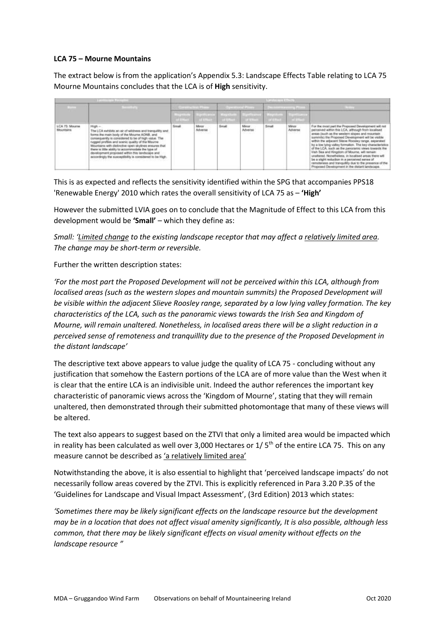#### **LCA 75 – Mourne Mountains**

The extract below is from the application's Appendix 5.3: Landscape Effects Table relating to LCA 75 Mourne Mountains concludes that the LCA is of **High** sensitivity.

|                                    |                                                                                                                                                                                                                                                                                                                                                                                                                                                                                                        | and a trail films |                              |              |                           | œ<br><b>TELEVIS</b> |                   |                                                                                                                                                                                                                                                                                                                                                                                                                                                                                                                                                                                                                                                                  |
|------------------------------------|--------------------------------------------------------------------------------------------------------------------------------------------------------------------------------------------------------------------------------------------------------------------------------------------------------------------------------------------------------------------------------------------------------------------------------------------------------------------------------------------------------|-------------------|------------------------------|--------------|---------------------------|---------------------|-------------------|------------------------------------------------------------------------------------------------------------------------------------------------------------------------------------------------------------------------------------------------------------------------------------------------------------------------------------------------------------------------------------------------------------------------------------------------------------------------------------------------------------------------------------------------------------------------------------------------------------------------------------------------------------------|
|                                    |                                                                                                                                                                                                                                                                                                                                                                                                                                                                                                        | <b>TITLET</b>     |                              |              |                           |                     | <b>CONTRACTOR</b> |                                                                                                                                                                                                                                                                                                                                                                                                                                                                                                                                                                                                                                                                  |
| LCA 75: Mourns<br>Mountains<br>--- | High -<br>The LCA subtists would of widness and tranquility and<br>forms the main body of the Mourne ADNB, and<br>consequently is considered to be of high value. The<br>nagged profiles and scenic quality of the Maurne:<br>Mountains with dielinctive open skylines ensures that<br>there is little ability to accommodate the type of<br>development proposed within this bandscape and<br>accordingly the suspectibility is considered to be High<br>1998년 5월 1일 전화 5000 전화 1000 전화 2000 원 1000 원 | Small.            | Motor<br>Adverter<br>3.3735m | <b>Broat</b> | Mmar:<br>Adverse<br>YA BA | Small<br>5371       | Miner<br>Adverse  | For the receil part the Proposed Development will not<br>paroalved within this LCA, although from localised<br>ansas (such as the western shoes and recurrain<br>surrents) the Proposed Development will be visible<br>within the adjacent Sleval Roosley range, asparated<br>by a low lying valley formation. The law characteristics<br>of the LCA, such as the percentric views towards the<br>Irish Bea and Kingdom of Mourne, will remain<br>unstered. Nonetheless, in localised areas there will<br>be a skell reduction in a perceived sense of<br>remotenees and tranquility due to the presence of the<br>Proposed Owenhopment in the distant landscape |

This is as expected and reflects the sensitivity identified within the SPG that accompanies PPS18 'Renewable Energy' 2010 which rates the overall sensitivity of LCA 75 as – **'High'**

However the submitted LVIA goes on to conclude that the Magnitude of Effect to this LCA from this development would be **'Small'** – which they define as:

*Small: 'Limited change to the existing landscape receptor that may affect a relatively limited area. The change may be short-term or reversible.*

#### Further the written description states:

*'For the most part the Proposed Development will not be perceived within this LCA, although from localised areas (such as the western slopes and mountain summits) the Proposed Development will be visible within the adjacent Slieve Roosley range, separated by a low lying valley formation. The key characteristics of the LCA, such as the panoramic views towards the Irish Sea and Kingdom of Mourne, will remain unaltered. Nonetheless, in localised areas there will be a slight reduction in a perceived sense of remoteness and tranquillity due to the presence of the Proposed Development in the distant landscape'*

The descriptive text above appears to value judge the quality of LCA 75 - concluding without any justification that somehow the Eastern portions of the LCA are of more value than the West when it is clear that the entire LCA is an indivisible unit. Indeed the author references the important key characteristic of panoramic views across the 'Kingdom of Mourne', stating that they will remain unaltered, then demonstrated through their submitted photomontage that many of these views will be altered.

The text also appears to suggest based on the ZTVI that only a limited area would be impacted which in reality has been calculated as well over 3,000 Hectares or  $1/5<sup>th</sup>$  of the entire LCA 75. This on any measure cannot be described as 'a relatively limited area'

Notwithstanding the above, it is also essential to highlight that 'perceived landscape impacts' do not necessarily follow areas covered by the ZTVI. This is explicitly referenced in Para 3.20 P.35 of the 'Guidelines for Landscape and Visual Impact Assessment', (3rd Edition) 2013 which states:

*'Sometimes there may be likely significant effects on the landscape resource but the development may be in a location that does not affect visual amenity significantly, It is also possible, although less common, that there may be likely significant effects on visual amenity without effects on the landscape resource "*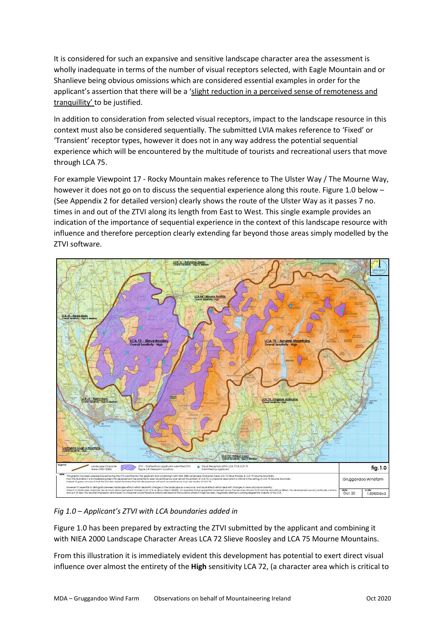It is considered for such an expansive and sensitive landscape character area the assessment is wholly inadequate in terms of the number of visual receptors selected, with Eagle Mountain and or Shanlieve being obvious omissions which are considered essential examples in order for the applicant's assertion that there will be a 'slight reduction in a perceived sense of remoteness and tranquillity' to be justified.

In addition to consideration from selected visual receptors, impact to the landscape resource in this context must also be considered sequentially. The submitted LVIA makes reference to 'Fixed' or 'Transient' receptor types, however it does not in any way address the potential sequential experience which will be encountered by the multitude of tourists and recreational users that move through LCA 75.

For example Viewpoint 17 - Rocky Mountain makes reference to The Ulster Way / The Mourne Way, however it does not go on to discuss the sequential experience along this route. Figure 1.0 below – (See Appendix 2 for detailed version) clearly shows the route of the Ulster Way as it passes 7 no. times in and out of the ZTVI along its length from East to West. This single example provides an indication of the importance of sequential experience in the context of this landscape resource with influence and therefore perception clearly extending far beyond those areas simply modelled by the ZTVI software.



# *Fig 1.0 – Applicant's ZTVI with LCA boundaries added in*

Figure 1.0 has been prepared by extracting the ZTVI submitted by the applicant and combining it with NIEA 2000 Landscape Character Areas LCA 72 Slieve Roosley and LCA 75 Mourne Mountains.

From this illustration it is immediately evident this development has potential to exert direct visual influence over almost the entirety of the **High** sensitivity LCA 72, (a character area which is critical to